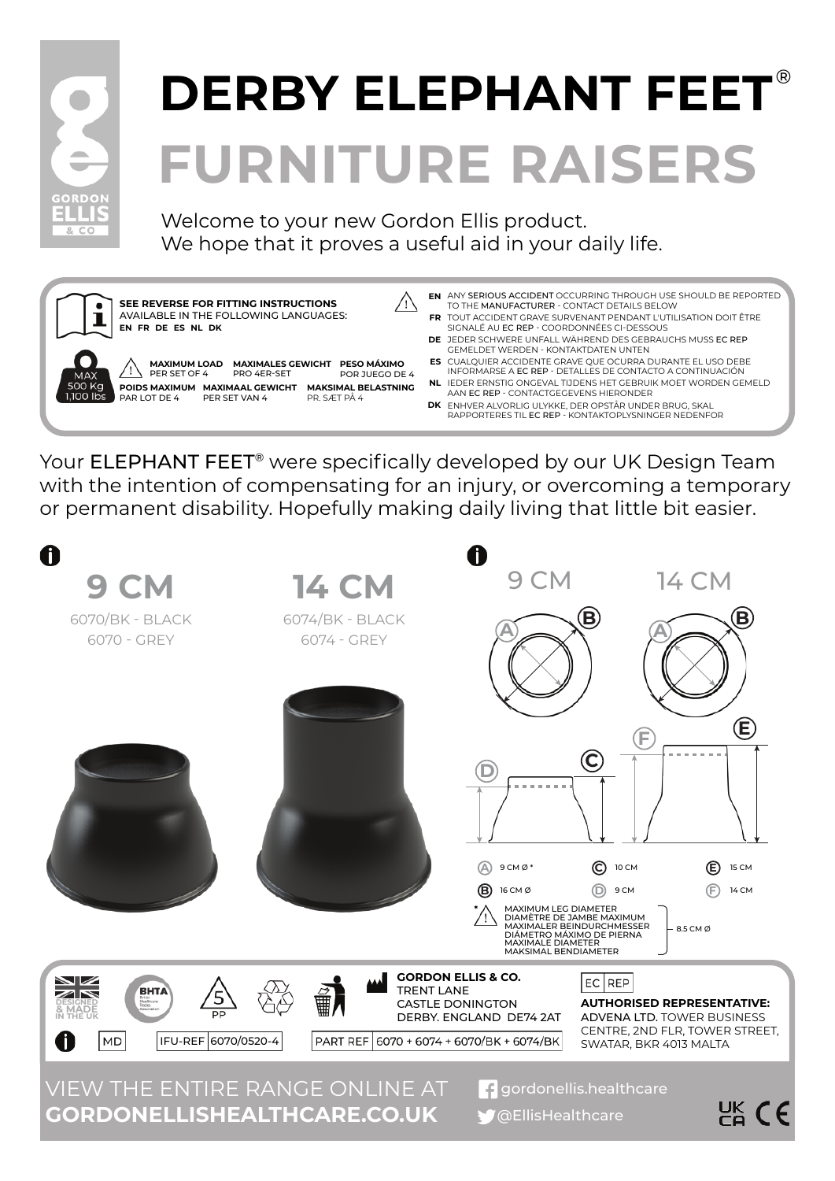

# **FURNITURE RAISERS DERBY ELEPHANT FEET** ®

Welcome to your new Gordon Ellis product. We hope that it proves a useful aid in your daily life.



Your ELEPHANT FEET<sup>®</sup> were specifically developed by our UK Design Team with the intention of compensating for an injury, or overcoming a temporary or permanent disability. Hopefully making daily living that little bit easier.